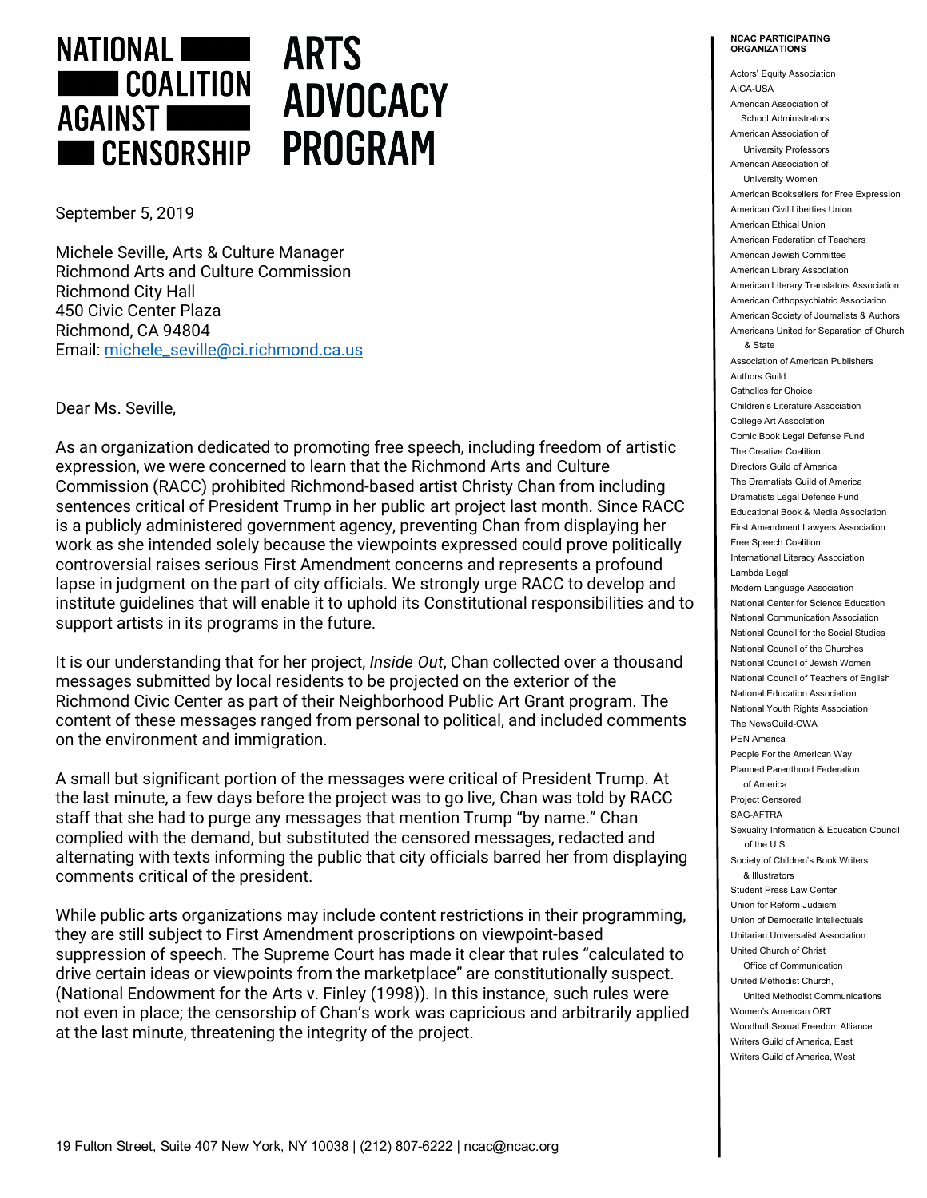

## **ARTS ADVOCACY PROGRAM**

September 5, 2019

Michele Seville, Arts & Culture Manager Richmond Arts and Culture Commission Richmond City Hall 450 Civic Center Plaza Richmond, CA 94804 Email: michele\_seville@ci.richmond.ca.us

Dear Ms. Seville,

As an organization dedicated to promoting free speech, including freedom of artistic expression, we were concerned to learn that the Richmond Arts and Culture Commission (RACC) prohibited Richmond-based artist Christy Chan from including sentences critical of President Trump in her public art project last month. Since RACC is a publicly administered government agency, preventing Chan from displaying her work as she intended solely because the viewpoints expressed could prove politically controversial raises serious First Amendment concerns and represents a profound lapse in judgment on the part of city officials. We strongly urge RACC to develop and institute guidelines that will enable it to uphold its Constitutional responsibilities and to support artists in its programs in the future.

It is our understanding that for her project, *Inside Out*, Chan collected over a thousand messages submitted by local residents to be projected on the exterior of the Richmond Civic Center as part of their Neighborhood Public Art Grant program. The content of these messages ranged from personal to political, and included comments on the environment and immigration.

A small but significant portion of the messages were critical of President Trump. At the last minute, a few days before the project was to go live, Chan was told by RACC staff that she had to purge any messages that mention Trump "by name." Chan complied with the demand, but substituted the censored messages, redacted and alternating with texts informing the public that city officials barred her from displaying comments critical of the president.

While public arts organizations may include content restrictions in their programming, they are still subject to First Amendment proscriptions on viewpoint-based suppression of speech. The Supreme Court has made it clear that rules "calculated to drive certain ideas or viewpoints from the marketplace" are constitutionally suspect. (National Endowment for the Arts v. Finley (1998)). In this instance, such rules were not even in place; the censorship of Chan's work was capricious and arbitrarily applied at the last minute, threatening the integrity of the project.

## **NCAC PARTICIPATING ORGANIZATIONS**

Actors' Equity Association AICA-USA American Association of School Administrators American Association of University Professors American Association of University Women American Booksellers for Free Expression American Civil Liberties Union American Ethical Union American Federation of Teachers American Jewish Committee American Library Association American Literary Translators Association American Orthopsychiatric Association American Society of Journalists & Authors Americans United for Separation of Church & State Association of American Publishers Authors Guild Catholics for Choice Children's Literature Association College Art Association Comic Book Legal Defense Fund The Creative Coalition Directors Guild of America The Dramatists Guild of America Dramatists Legal Defense Fund Educational Book & Media Association First Amendment Lawyers Association Free Speech Coalition International Literacy Association Lambda Legal Modern Language Association National Center for Science Education National Communication Association National Council for the Social Studies National Council of the Churches National Council of Jewish Women National Council of Teachers of English National Education Association National Youth Rights Association The NewsGuild-CWA PEN America People For the American Way Planned Parenthood Federation of America Project Censored SAG-AFTRA Sexuality Information & Education Council of the U.S. Society of Children's Book Writers & Illustrators Student Press Law Center Union for Reform Judaism Union of Democratic Intellectuals Unitarian Universalist Association United Church of Christ Office of Communication United Methodist Church, United Methodist Communications Women's American ORT Woodhull Sexual Freedom Alliance Writers Guild of America, East Writers Guild of America, West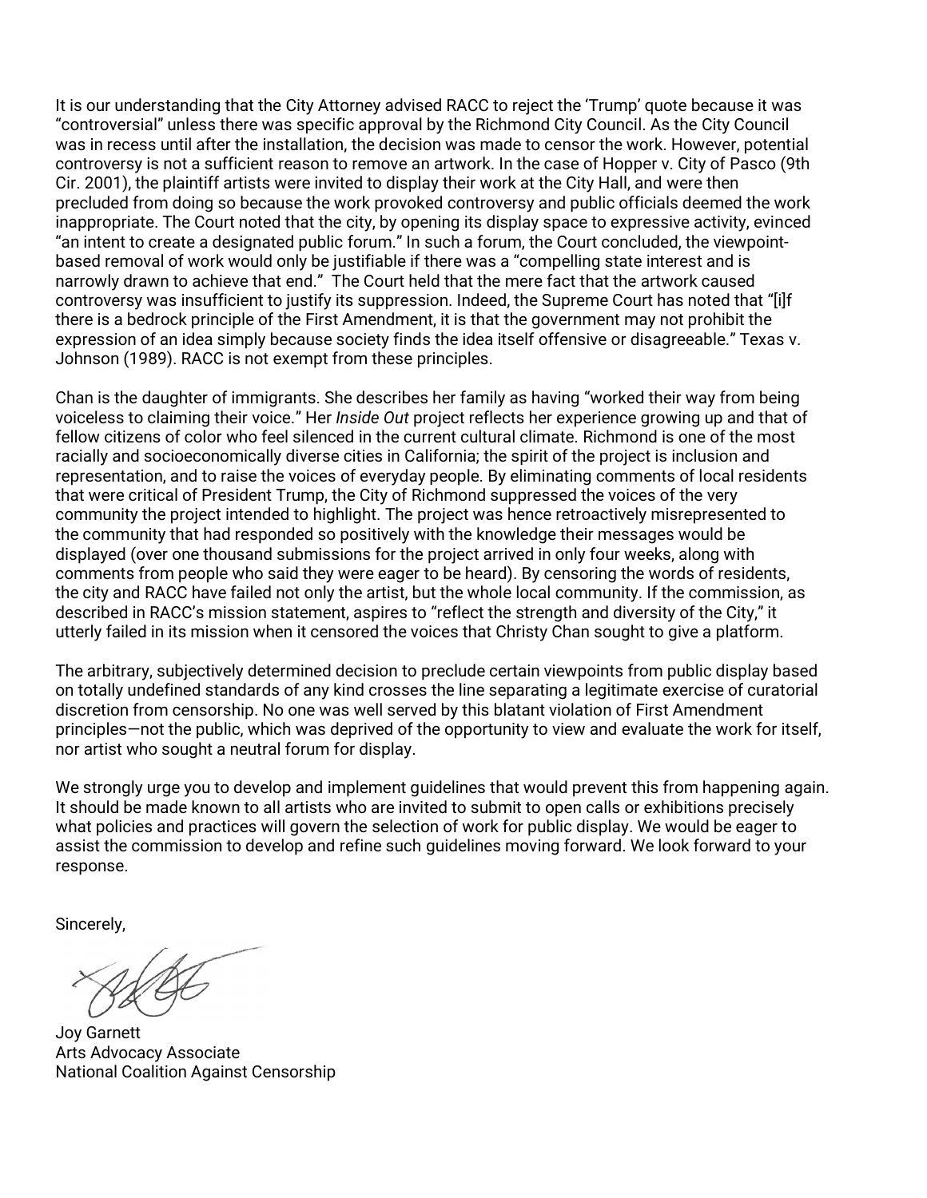It is our understanding that the City Attorney advised RACC to reject the 'Trump' quote because it was "controversial" unless there was specific approval by the Richmond City Council. As the City Council was in recess until after the installation, the decision was made to censor the work. However, potential controversy is not a sufficient reason to remove an artwork. In the case of Hopper v. City of Pasco (9th Cir. 2001), the plaintiff artists were invited to display their work at the City Hall, and were then precluded from doing so because the work provoked controversy and public officials deemed the work inappropriate. The Court noted that the city, by opening its display space to expressive activity, evinced "an intent to create a designated public forum." In such a forum, the Court concluded, the viewpointbased removal of work would only be justifiable if there was a "compelling state interest and is narrowly drawn to achieve that end." The Court held that the mere fact that the artwork caused controversy was insufficient to justify its suppression. Indeed, the Supreme Court has noted that "[i]f there is a bedrock principle of the First Amendment, it is that the government may not prohibit the expression of an idea simply because society finds the idea itself offensive or disagreeable." Texas v. Johnson (1989). RACC is not exempt from these principles.

Chan is the daughter of immigrants. She describes her family as having "worked their way from being voiceless to claiming their voice." Her *Inside Out* project reflects her experience growing up and that of fellow citizens of color who feel silenced in the current cultural climate. Richmond is one of the most racially and socioeconomically diverse cities in California; the spirit of the project is inclusion and representation, and to raise the voices of everyday people. By eliminating comments of local residents that were critical of President Trump, the City of Richmond suppressed the voices of the very community the project intended to highlight. The project was hence retroactively misrepresented to the community that had responded so positively with the knowledge their messages would be displayed (over one thousand submissions for the project arrived in only four weeks, along with comments from people who said they were eager to be heard). By censoring the words of residents, the city and RACC have failed not only the artist, but the whole local community. If the commission, as described in RACC's mission statement, aspires to "reflect the strength and diversity of the City," it utterly failed in its mission when it censored the voices that Christy Chan sought to give a platform.

The arbitrary, subjectively determined decision to preclude certain viewpoints from public display based on totally undefined standards of any kind crosses the line separating a legitimate exercise of curatorial discretion from censorship. No one was well served by this blatant violation of First Amendment principles—not the public, which was deprived of the opportunity to view and evaluate the work for itself, nor artist who sought a neutral forum for display.

We strongly urge you to develop and implement guidelines that would prevent this from happening again. It should be made known to all artists who are invited to submit to open calls or exhibitions precisely what policies and practices will govern the selection of work for public display. We would be eager to assist the commission to develop and refine such guidelines moving forward. We look forward to your response.

Sincerely,

Joy Garnett Arts Advocacy Associate National Coalition Against Censorship